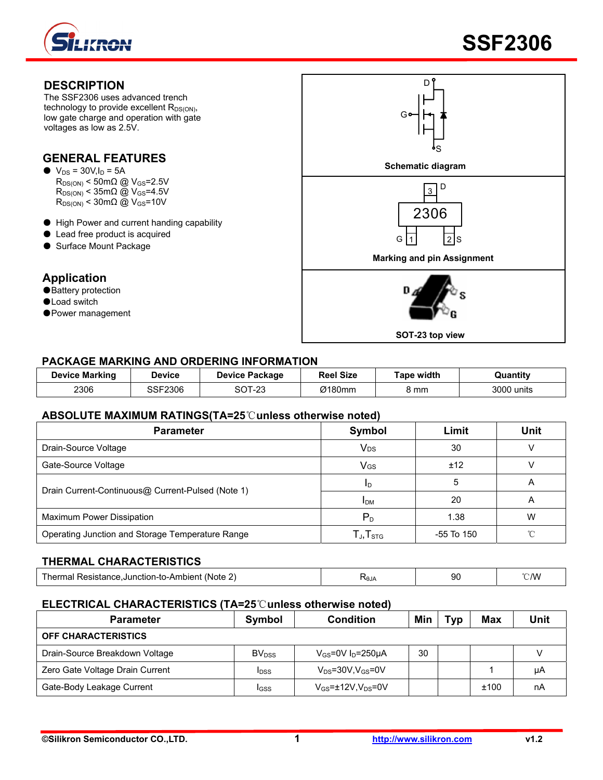





## **PACKAGE MARKING AND ORDERING INFORMATION**

| <b>Device Marking</b> | <b>Device</b> | <b>Device Package</b>   | <b>Reel Size</b> | <b>Tape width</b> | Quantitv   |
|-----------------------|---------------|-------------------------|------------------|-------------------|------------|
| 2306                  | SSF2306       | ⌒⌒ㅜ<br>ົດລ<br>3U I - 23 | Ø180mm           | 8 mm              | 3000 units |

#### **ABSOLUTE MAXIMUM RATINGS(TA=25**℃**unless otherwise noted)**

| <b>Parameter</b>                                  | Symbol                                               | Limit          | Unit |
|---------------------------------------------------|------------------------------------------------------|----------------|------|
| Drain-Source Voltage                              | <b>V<sub>DS</sub></b>                                | 30             |      |
| Gate-Source Voltage                               | <b>V<sub>GS</sub></b>                                | ±12            |      |
|                                                   | ID                                                   |                |      |
| Drain Current-Continuous@ Current-Pulsed (Note 1) | <b>IDM</b>                                           | 20             | A    |
| Maximum Power Dissipation                         | $P_D$                                                | 1.38           | W    |
| Operating Junction and Storage Temperature Range  | $\mathsf{T}_{\mathsf{J}}, \mathsf{T}_{\textsf{STG}}$ | $-55$ To $150$ |      |

#### **THERMAL CHARACTERISTICS**

| Thermal Resistance, Junction-to-Ambient (Note 2) | ≺θJA |  | $^{\sim}$ /W |
|--------------------------------------------------|------|--|--------------|
|--------------------------------------------------|------|--|--------------|

### **ELECTRICAL CHARACTERISTICS (TA=25**℃**unless otherwise noted)**

| <b>Parameter</b>                | Symbol                   | <b>Condition</b>                         | Min | Tvp | Max  | <b>Unit</b> |
|---------------------------------|--------------------------|------------------------------------------|-----|-----|------|-------------|
| <b>OFF CHARACTERISTICS</b>      |                          |                                          |     |     |      |             |
| Drain-Source Breakdown Voltage  | <b>BV</b> <sub>DSS</sub> | $V_{GS}$ =0V I <sub>D</sub> =250µA       | 30  |     |      |             |
| Zero Gate Voltage Drain Current | <b>IDSS</b>              | $V_{DS}$ =30V,V $_{GS}$ =0V              |     |     |      | μA          |
| Gate-Body Leakage Current       | IGSS                     | $V_{GS}$ = $\pm$ 12V,V <sub>DS</sub> =0V |     |     | ±100 | nA          |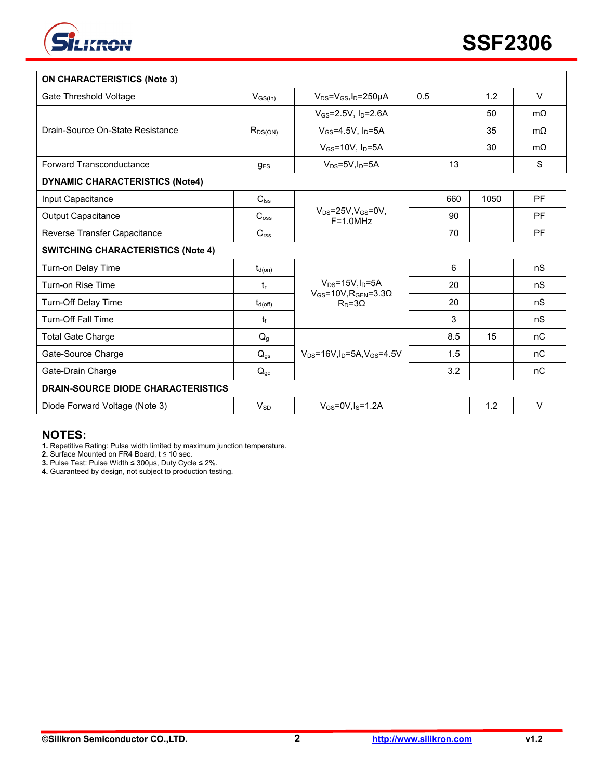

| <b>ON CHARACTERISTICS (Note 3)</b>        |                     |                                                                           |     |     |      |             |
|-------------------------------------------|---------------------|---------------------------------------------------------------------------|-----|-----|------|-------------|
| Gate Threshold Voltage                    | $V_{GS(th)}$        | $V_{DS} = V_{GS}I_D = 250 \mu A$                                          | 0.5 |     | 1.2  | $\vee$      |
|                                           | $R_{DS(ON)}$        | $V_{GS} = 2.5V, I_D = 2.6A$                                               |     |     | 50   | $m\Omega$   |
| Drain-Source On-State Resistance          |                     | $V_{GS} = 4.5V$ , $I_D = 5A$                                              |     |     | 35   | $m\Omega$   |
|                                           |                     | $V_{GS}$ =10V, $I_D$ =5A                                                  |     |     | 30   | $m\Omega$   |
| Forward Transconductance                  | $g_{FS}$            | $V_{DS} = 5V, I_D = 5A$                                                   |     | 13  |      | $\mathbf S$ |
| <b>DYNAMIC CHARACTERISTICS (Note4)</b>    |                     |                                                                           |     |     |      |             |
| Input Capacitance                         | $C_{\text{lss}}$    | $V_{DS}$ =25V, $V_{GS}$ =0V,<br>$F = 1.0 MHz$                             |     | 660 | 1050 | <b>PF</b>   |
| <b>Output Capacitance</b>                 | C <sub>oss</sub>    |                                                                           |     | 90  |      | <b>PF</b>   |
| Reverse Transfer Capacitance              | $C_{\mathsf{rss}}$  |                                                                           |     | 70  |      | <b>PF</b>   |
| <b>SWITCHING CHARACTERISTICS (Note 4)</b> |                     |                                                                           |     |     |      |             |
| Turn-on Delay Time                        | $t_{d(on)}$         |                                                                           |     | 6   |      | nS          |
| Turn-on Rise Time                         | $t_{r}$             | $V_{DS}$ =15V, $I_D$ =5A<br>$V_{GS}$ =10V, R <sub>GEN</sub> =3.3 $\Omega$ |     | 20  |      | nS          |
| Turn-Off Delay Time                       | $t_{d(\text{off})}$ | $RD=3\Omega$                                                              |     | 20  |      | nS          |
| <b>Turn-Off Fall Time</b>                 | tŧ                  |                                                                           |     | 3   |      | nS          |
| <b>Total Gate Charge</b>                  | $Q_{g}$             |                                                                           |     | 8.5 | 15   | nC          |
| Gate-Source Charge                        | $Q_{gs}$            | $V_{DS} = 16V I_D = 5A$ , $V_{GS} = 4.5V$                                 |     | 1.5 |      | nC          |
| Gate-Drain Charge                         | $Q_{gd}$            |                                                                           |     | 3.2 |      | nC          |
| <b>DRAIN-SOURCE DIODE CHARACTERISTICS</b> |                     |                                                                           |     |     |      |             |
| Diode Forward Voltage (Note 3)            | $V_{SD}$            | $V_{GS} = 0V, I_S = 1.2A$                                                 |     |     | 1.2  | $\vee$      |

## **NOTES:**

**1.** Repetitive Rating: Pulse width limited by maximum junction temperature.

**2.** Surface Mounted on FR4 Board, t ≤ 10 sec.

**3.** Pulse Test: Pulse Width ≤ 300μs, Duty Cycle ≤ 2%.

**4.** Guaranteed by design, not subject to production testing.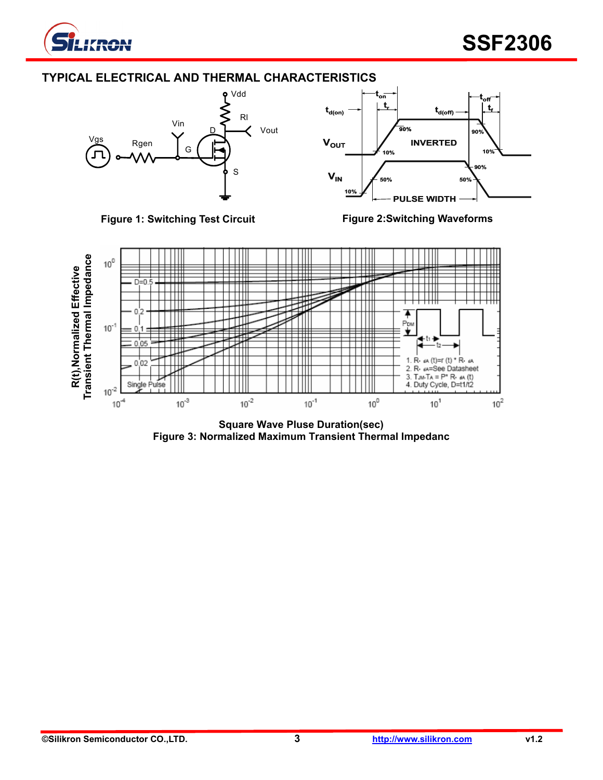

## **TYPICAL ELECTRICAL AND THERMAL CHARACTERISTICS**









**Square Wave Pluse Duration(sec) Figure 3: Normalized Maximum Transient Thermal Impedanc**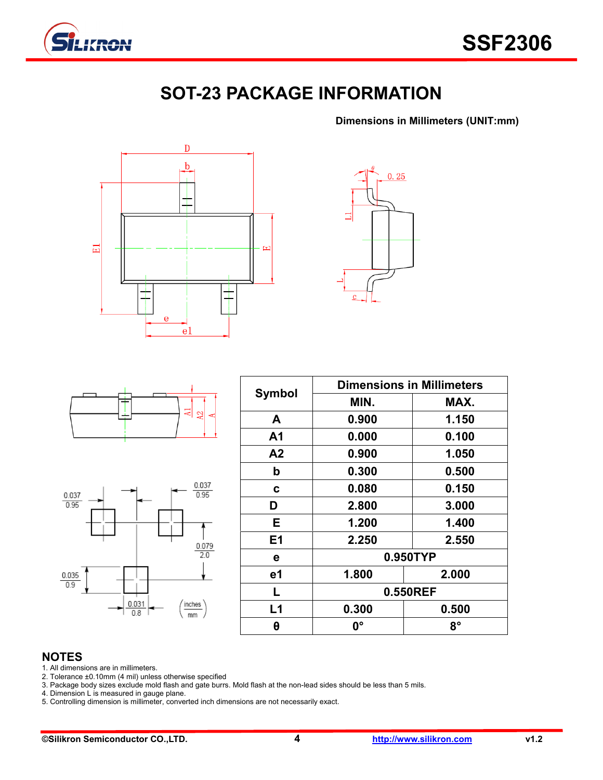

# **SOT-23 PACKAGE INFORMATION**

**Dimensions in Millimeters (UNIT:mm)**









| <b>Symbol</b> | <b>Dimensions in Millimeters</b> |             |  |  |  |
|---------------|----------------------------------|-------------|--|--|--|
|               | MIN.                             | MAX.        |  |  |  |
| A             | 0.900                            | 1.150       |  |  |  |
| A1            | 0.000                            | 0.100       |  |  |  |
| A2            | 0.900                            | 1.050       |  |  |  |
| b             | 0.300                            | 0.500       |  |  |  |
| C             | 0.080                            | 0.150       |  |  |  |
| D             | 2.800                            | 3.000       |  |  |  |
| Е             | 1.200                            | 1.400       |  |  |  |
| E1            | 2.250                            | 2.550       |  |  |  |
| е             | 0.950TYP                         |             |  |  |  |
| e1            | 1.800                            | 2.000       |  |  |  |
| L             | 0.550REF                         |             |  |  |  |
| L1            | 0.300                            | 0.500       |  |  |  |
| θ             | 0°                               | $8^{\circ}$ |  |  |  |

## **NOTES**

1. All dimensions are in millimeters.

2. Tolerance ±0.10mm (4 mil) unless otherwise specified

3. Package body sizes exclude mold flash and gate burrs. Mold flash at the non-lead sides should be less than 5 mils.

4. Dimension L is measured in gauge plane.

5. Controlling dimension is millimeter, converted inch dimensions are not necessarily exact.